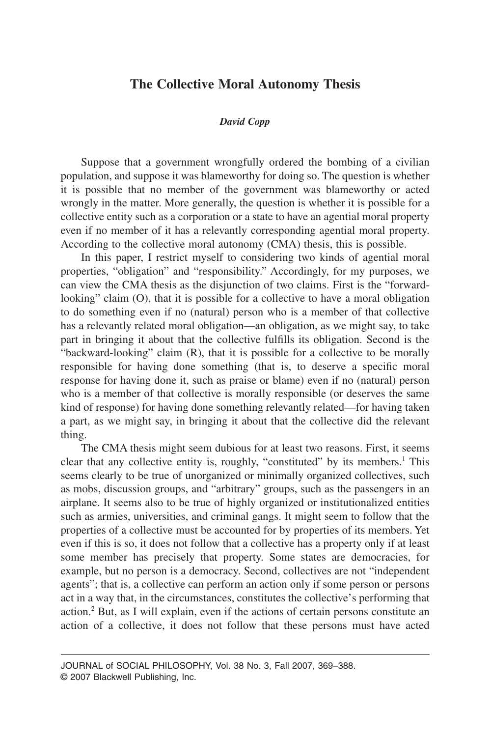# **The Collective Moral Autonomy Thesis**

# *David Copp*

Suppose that a government wrongfully ordered the bombing of a civilian population, and suppose it was blameworthy for doing so. The question is whether it is possible that no member of the government was blameworthy or acted wrongly in the matter. More generally, the question is whether it is possible for a collective entity such as a corporation or a state to have an agential moral property even if no member of it has a relevantly corresponding agential moral property. According to the collective moral autonomy (CMA) thesis, this is possible.

In this paper, I restrict myself to considering two kinds of agential moral properties, "obligation" and "responsibility." Accordingly, for my purposes, we can view the CMA thesis as the disjunction of two claims. First is the "forwardlooking" claim (O), that it is possible for a collective to have a moral obligation to do something even if no (natural) person who is a member of that collective has a relevantly related moral obligation—an obligation, as we might say, to take part in bringing it about that the collective fulfills its obligation. Second is the "backward-looking" claim (R), that it is possible for a collective to be morally responsible for having done something (that is, to deserve a specific moral response for having done it, such as praise or blame) even if no (natural) person who is a member of that collective is morally responsible (or deserves the same kind of response) for having done something relevantly related—for having taken a part, as we might say, in bringing it about that the collective did the relevant thing.

The CMA thesis might seem dubious for at least two reasons. First, it seems clear that any collective entity is, roughly, "constituted" by its members. $<sup>1</sup>$  This</sup> seems clearly to be true of unorganized or minimally organized collectives, such as mobs, discussion groups, and "arbitrary" groups, such as the passengers in an airplane. It seems also to be true of highly organized or institutionalized entities such as armies, universities, and criminal gangs. It might seem to follow that the properties of a collective must be accounted for by properties of its members. Yet even if this is so, it does not follow that a collective has a property only if at least some member has precisely that property. Some states are democracies, for example, but no person is a democracy. Second, collectives are not "independent agents"; that is, a collective can perform an action only if some person or persons act in a way that, in the circumstances, constitutes the collective's performing that action.<sup>2</sup> But, as I will explain, even if the actions of certain persons constitute an action of a collective, it does not follow that these persons must have acted

JOURNAL of SOCIAL PHILOSOPHY, Vol. 38 No. 3, Fall 2007, 369–388. © 2007 Blackwell Publishing, Inc.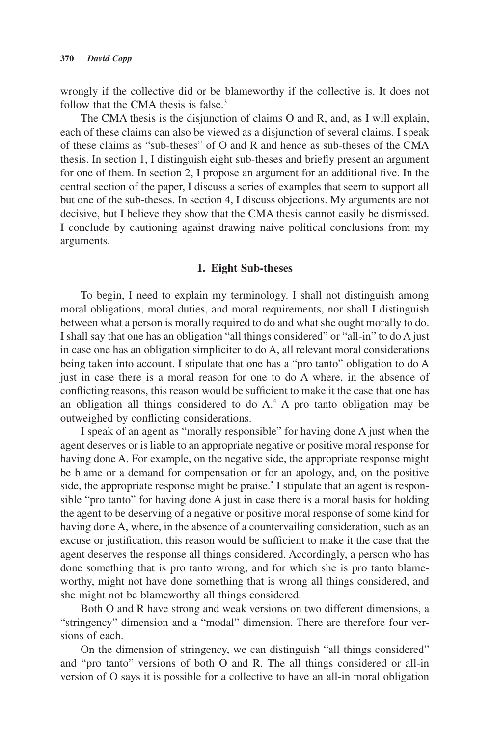wrongly if the collective did or be blameworthy if the collective is. It does not follow that the CMA thesis is false. $3$ 

The CMA thesis is the disjunction of claims O and R, and, as I will explain, each of these claims can also be viewed as a disjunction of several claims. I speak of these claims as "sub-theses" of O and R and hence as sub-theses of the CMA thesis. In section 1, I distinguish eight sub-theses and briefly present an argument for one of them. In section 2, I propose an argument for an additional five. In the central section of the paper, I discuss a series of examples that seem to support all but one of the sub-theses. In section 4, I discuss objections. My arguments are not decisive, but I believe they show that the CMA thesis cannot easily be dismissed. I conclude by cautioning against drawing naive political conclusions from my arguments.

#### **1. Eight Sub-theses**

To begin, I need to explain my terminology. I shall not distinguish among moral obligations, moral duties, and moral requirements, nor shall I distinguish between what a person is morally required to do and what she ought morally to do. I shall say that one has an obligation "all things considered" or "all-in" to do A just in case one has an obligation simpliciter to do A, all relevant moral considerations being taken into account. I stipulate that one has a "pro tanto" obligation to do A just in case there is a moral reason for one to do A where, in the absence of conflicting reasons, this reason would be sufficient to make it the case that one has an obligation all things considered to do  $A<sup>4</sup>$ . A pro tanto obligation may be outweighed by conflicting considerations.

I speak of an agent as "morally responsible" for having done A just when the agent deserves or is liable to an appropriate negative or positive moral response for having done A. For example, on the negative side, the appropriate response might be blame or a demand for compensation or for an apology, and, on the positive side, the appropriate response might be praise.<sup>5</sup> I stipulate that an agent is responsible "pro tanto" for having done A just in case there is a moral basis for holding the agent to be deserving of a negative or positive moral response of some kind for having done A, where, in the absence of a countervailing consideration, such as an excuse or justification, this reason would be sufficient to make it the case that the agent deserves the response all things considered. Accordingly, a person who has done something that is pro tanto wrong, and for which she is pro tanto blameworthy, might not have done something that is wrong all things considered, and she might not be blameworthy all things considered.

Both O and R have strong and weak versions on two different dimensions, a "stringency" dimension and a "modal" dimension. There are therefore four versions of each.

On the dimension of stringency, we can distinguish "all things considered" and "pro tanto" versions of both O and R. The all things considered or all-in version of O says it is possible for a collective to have an all-in moral obligation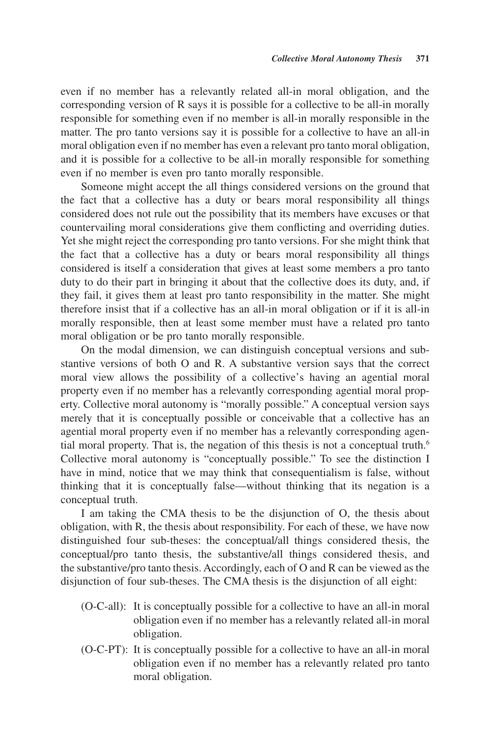even if no member has a relevantly related all-in moral obligation, and the corresponding version of R says it is possible for a collective to be all-in morally responsible for something even if no member is all-in morally responsible in the matter. The pro tanto versions say it is possible for a collective to have an all-in moral obligation even if no member has even a relevant pro tanto moral obligation, and it is possible for a collective to be all-in morally responsible for something even if no member is even pro tanto morally responsible.

Someone might accept the all things considered versions on the ground that the fact that a collective has a duty or bears moral responsibility all things considered does not rule out the possibility that its members have excuses or that countervailing moral considerations give them conflicting and overriding duties. Yet she might reject the corresponding pro tanto versions. For she might think that the fact that a collective has a duty or bears moral responsibility all things considered is itself a consideration that gives at least some members a pro tanto duty to do their part in bringing it about that the collective does its duty, and, if they fail, it gives them at least pro tanto responsibility in the matter. She might therefore insist that if a collective has an all-in moral obligation or if it is all-in morally responsible, then at least some member must have a related pro tanto moral obligation or be pro tanto morally responsible.

On the modal dimension, we can distinguish conceptual versions and substantive versions of both O and R. A substantive version says that the correct moral view allows the possibility of a collective's having an agential moral property even if no member has a relevantly corresponding agential moral property. Collective moral autonomy is "morally possible." A conceptual version says merely that it is conceptually possible or conceivable that a collective has an agential moral property even if no member has a relevantly corresponding agential moral property. That is, the negation of this thesis is not a conceptual truth.<sup>6</sup> Collective moral autonomy is "conceptually possible." To see the distinction I have in mind, notice that we may think that consequentialism is false, without thinking that it is conceptually false—without thinking that its negation is a conceptual truth.

I am taking the CMA thesis to be the disjunction of O, the thesis about obligation, with R, the thesis about responsibility. For each of these, we have now distinguished four sub-theses: the conceptual/all things considered thesis, the conceptual/pro tanto thesis, the substantive/all things considered thesis, and the substantive/pro tanto thesis. Accordingly, each of O and R can be viewed as the disjunction of four sub-theses. The CMA thesis is the disjunction of all eight:

- (O-C-all): It is conceptually possible for a collective to have an all-in moral obligation even if no member has a relevantly related all-in moral obligation.
- (O-C-PT): It is conceptually possible for a collective to have an all-in moral obligation even if no member has a relevantly related pro tanto moral obligation.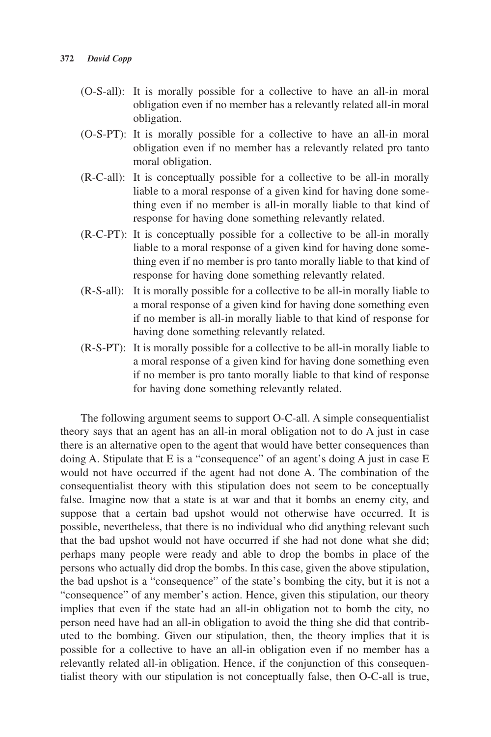- (O-S-all): It is morally possible for a collective to have an all-in moral obligation even if no member has a relevantly related all-in moral obligation.
- (O-S-PT): It is morally possible for a collective to have an all-in moral obligation even if no member has a relevantly related pro tanto moral obligation.
- (R-C-all): It is conceptually possible for a collective to be all-in morally liable to a moral response of a given kind for having done something even if no member is all-in morally liable to that kind of response for having done something relevantly related.
- (R-C-PT): It is conceptually possible for a collective to be all-in morally liable to a moral response of a given kind for having done something even if no member is pro tanto morally liable to that kind of response for having done something relevantly related.
- (R-S-all): It is morally possible for a collective to be all-in morally liable to a moral response of a given kind for having done something even if no member is all-in morally liable to that kind of response for having done something relevantly related.
- (R-S-PT): It is morally possible for a collective to be all-in morally liable to a moral response of a given kind for having done something even if no member is pro tanto morally liable to that kind of response for having done something relevantly related.

The following argument seems to support O-C-all. A simple consequentialist theory says that an agent has an all-in moral obligation not to do A just in case there is an alternative open to the agent that would have better consequences than doing A. Stipulate that E is a "consequence" of an agent's doing A just in case E would not have occurred if the agent had not done A. The combination of the consequentialist theory with this stipulation does not seem to be conceptually false. Imagine now that a state is at war and that it bombs an enemy city, and suppose that a certain bad upshot would not otherwise have occurred. It is possible, nevertheless, that there is no individual who did anything relevant such that the bad upshot would not have occurred if she had not done what she did; perhaps many people were ready and able to drop the bombs in place of the persons who actually did drop the bombs. In this case, given the above stipulation, the bad upshot is a "consequence" of the state's bombing the city, but it is not a "consequence" of any member's action. Hence, given this stipulation, our theory implies that even if the state had an all-in obligation not to bomb the city, no person need have had an all-in obligation to avoid the thing she did that contributed to the bombing. Given our stipulation, then, the theory implies that it is possible for a collective to have an all-in obligation even if no member has a relevantly related all-in obligation. Hence, if the conjunction of this consequentialist theory with our stipulation is not conceptually false, then O-C-all is true,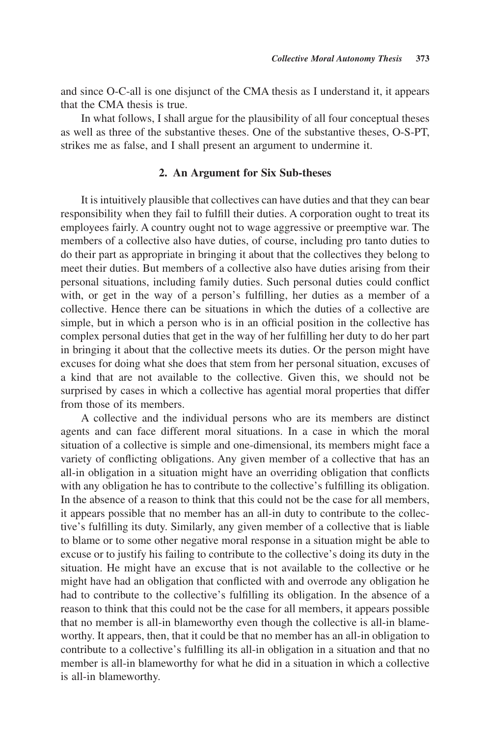and since O-C-all is one disjunct of the CMA thesis as I understand it, it appears that the CMA thesis is true.

In what follows, I shall argue for the plausibility of all four conceptual theses as well as three of the substantive theses. One of the substantive theses, O-S-PT, strikes me as false, and I shall present an argument to undermine it.

### **2. An Argument for Six Sub-theses**

It is intuitively plausible that collectives can have duties and that they can bear responsibility when they fail to fulfill their duties. A corporation ought to treat its employees fairly. A country ought not to wage aggressive or preemptive war. The members of a collective also have duties, of course, including pro tanto duties to do their part as appropriate in bringing it about that the collectives they belong to meet their duties. But members of a collective also have duties arising from their personal situations, including family duties. Such personal duties could conflict with, or get in the way of a person's fulfilling, her duties as a member of a collective. Hence there can be situations in which the duties of a collective are simple, but in which a person who is in an official position in the collective has complex personal duties that get in the way of her fulfilling her duty to do her part in bringing it about that the collective meets its duties. Or the person might have excuses for doing what she does that stem from her personal situation, excuses of a kind that are not available to the collective. Given this, we should not be surprised by cases in which a collective has agential moral properties that differ from those of its members.

A collective and the individual persons who are its members are distinct agents and can face different moral situations. In a case in which the moral situation of a collective is simple and one-dimensional, its members might face a variety of conflicting obligations. Any given member of a collective that has an all-in obligation in a situation might have an overriding obligation that conflicts with any obligation he has to contribute to the collective's fulfilling its obligation. In the absence of a reason to think that this could not be the case for all members, it appears possible that no member has an all-in duty to contribute to the collective's fulfilling its duty. Similarly, any given member of a collective that is liable to blame or to some other negative moral response in a situation might be able to excuse or to justify his failing to contribute to the collective's doing its duty in the situation. He might have an excuse that is not available to the collective or he might have had an obligation that conflicted with and overrode any obligation he had to contribute to the collective's fulfilling its obligation. In the absence of a reason to think that this could not be the case for all members, it appears possible that no member is all-in blameworthy even though the collective is all-in blameworthy. It appears, then, that it could be that no member has an all-in obligation to contribute to a collective's fulfilling its all-in obligation in a situation and that no member is all-in blameworthy for what he did in a situation in which a collective is all-in blameworthy.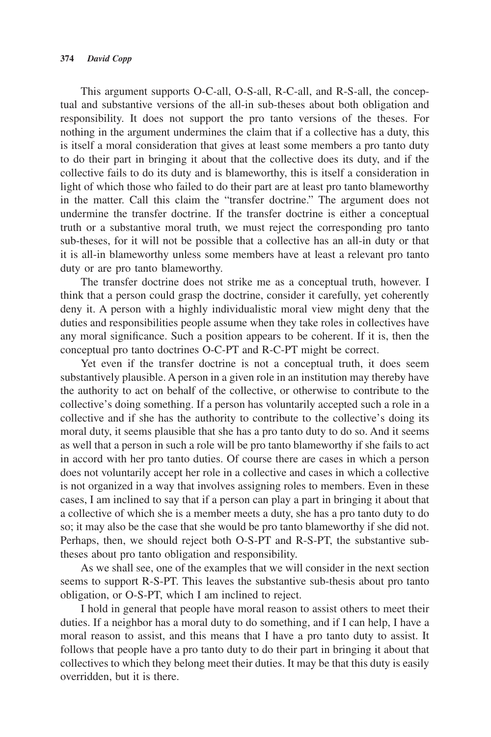This argument supports O-C-all, O-S-all, R-C-all, and R-S-all, the conceptual and substantive versions of the all-in sub-theses about both obligation and responsibility. It does not support the pro tanto versions of the theses. For nothing in the argument undermines the claim that if a collective has a duty, this is itself a moral consideration that gives at least some members a pro tanto duty to do their part in bringing it about that the collective does its duty, and if the collective fails to do its duty and is blameworthy, this is itself a consideration in light of which those who failed to do their part are at least pro tanto blameworthy in the matter. Call this claim the "transfer doctrine." The argument does not undermine the transfer doctrine. If the transfer doctrine is either a conceptual truth or a substantive moral truth, we must reject the corresponding pro tanto sub-theses, for it will not be possible that a collective has an all-in duty or that it is all-in blameworthy unless some members have at least a relevant pro tanto duty or are pro tanto blameworthy.

The transfer doctrine does not strike me as a conceptual truth, however. I think that a person could grasp the doctrine, consider it carefully, yet coherently deny it. A person with a highly individualistic moral view might deny that the duties and responsibilities people assume when they take roles in collectives have any moral significance. Such a position appears to be coherent. If it is, then the conceptual pro tanto doctrines O-C-PT and R-C-PT might be correct.

Yet even if the transfer doctrine is not a conceptual truth, it does seem substantively plausible. A person in a given role in an institution may thereby have the authority to act on behalf of the collective, or otherwise to contribute to the collective's doing something. If a person has voluntarily accepted such a role in a collective and if she has the authority to contribute to the collective's doing its moral duty, it seems plausible that she has a pro tanto duty to do so. And it seems as well that a person in such a role will be pro tanto blameworthy if she fails to act in accord with her pro tanto duties. Of course there are cases in which a person does not voluntarily accept her role in a collective and cases in which a collective is not organized in a way that involves assigning roles to members. Even in these cases, I am inclined to say that if a person can play a part in bringing it about that a collective of which she is a member meets a duty, she has a pro tanto duty to do so; it may also be the case that she would be pro tanto blameworthy if she did not. Perhaps, then, we should reject both O-S-PT and R-S-PT, the substantive subtheses about pro tanto obligation and responsibility.

As we shall see, one of the examples that we will consider in the next section seems to support R-S-PT. This leaves the substantive sub-thesis about pro tanto obligation, or O-S-PT, which I am inclined to reject.

I hold in general that people have moral reason to assist others to meet their duties. If a neighbor has a moral duty to do something, and if I can help, I have a moral reason to assist, and this means that I have a pro tanto duty to assist. It follows that people have a pro tanto duty to do their part in bringing it about that collectives to which they belong meet their duties. It may be that this duty is easily overridden, but it is there.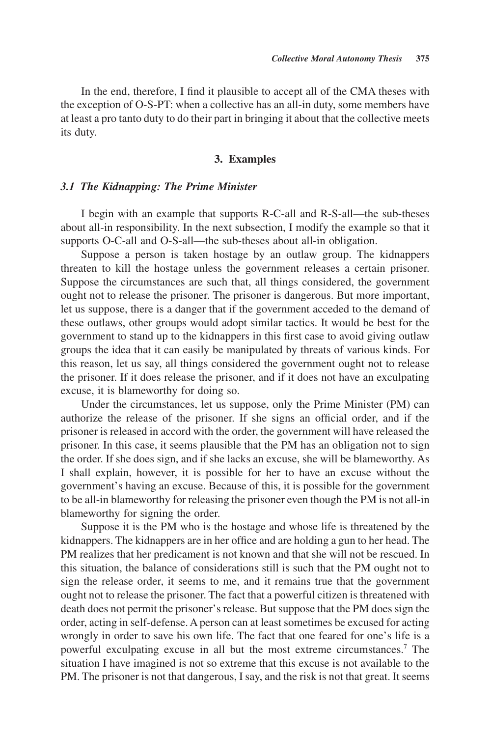In the end, therefore, I find it plausible to accept all of the CMA theses with the exception of O-S-PT: when a collective has an all-in duty, some members have at least a pro tanto duty to do their part in bringing it about that the collective meets its duty.

### **3. Examples**

### *3.1 The Kidnapping: The Prime Minister*

I begin with an example that supports R-C-all and R-S-all—the sub-theses about all-in responsibility. In the next subsection, I modify the example so that it supports O-C-all and O-S-all—the sub-theses about all-in obligation.

Suppose a person is taken hostage by an outlaw group. The kidnappers threaten to kill the hostage unless the government releases a certain prisoner. Suppose the circumstances are such that, all things considered, the government ought not to release the prisoner. The prisoner is dangerous. But more important, let us suppose, there is a danger that if the government acceded to the demand of these outlaws, other groups would adopt similar tactics. It would be best for the government to stand up to the kidnappers in this first case to avoid giving outlaw groups the idea that it can easily be manipulated by threats of various kinds. For this reason, let us say, all things considered the government ought not to release the prisoner. If it does release the prisoner, and if it does not have an exculpating excuse, it is blameworthy for doing so.

Under the circumstances, let us suppose, only the Prime Minister (PM) can authorize the release of the prisoner. If she signs an official order, and if the prisoner is released in accord with the order, the government will have released the prisoner. In this case, it seems plausible that the PM has an obligation not to sign the order. If she does sign, and if she lacks an excuse, she will be blameworthy. As I shall explain, however, it is possible for her to have an excuse without the government's having an excuse. Because of this, it is possible for the government to be all-in blameworthy for releasing the prisoner even though the PM is not all-in blameworthy for signing the order.

Suppose it is the PM who is the hostage and whose life is threatened by the kidnappers. The kidnappers are in her office and are holding a gun to her head. The PM realizes that her predicament is not known and that she will not be rescued. In this situation, the balance of considerations still is such that the PM ought not to sign the release order, it seems to me, and it remains true that the government ought not to release the prisoner. The fact that a powerful citizen is threatened with death does not permit the prisoner's release. But suppose that the PM does sign the order, acting in self-defense. A person can at least sometimes be excused for acting wrongly in order to save his own life. The fact that one feared for one's life is a powerful exculpating excuse in all but the most extreme circumstances.7 The situation I have imagined is not so extreme that this excuse is not available to the PM. The prisoner is not that dangerous, I say, and the risk is not that great. It seems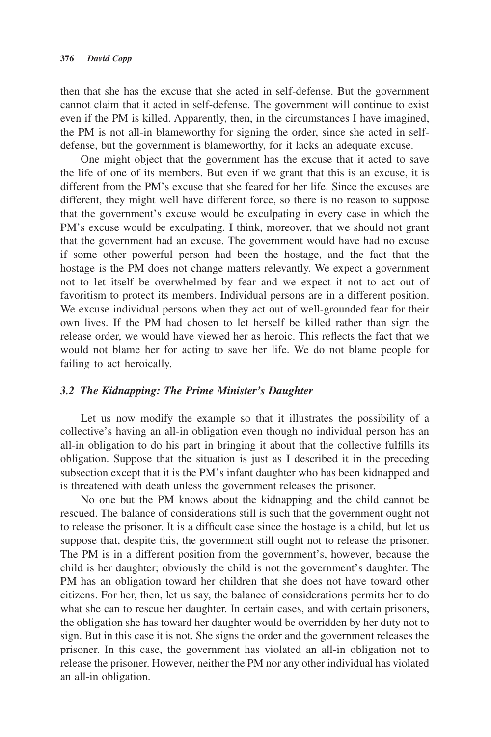then that she has the excuse that she acted in self-defense. But the government cannot claim that it acted in self-defense. The government will continue to exist even if the PM is killed. Apparently, then, in the circumstances I have imagined, the PM is not all-in blameworthy for signing the order, since she acted in selfdefense, but the government is blameworthy, for it lacks an adequate excuse.

One might object that the government has the excuse that it acted to save the life of one of its members. But even if we grant that this is an excuse, it is different from the PM's excuse that she feared for her life. Since the excuses are different, they might well have different force, so there is no reason to suppose that the government's excuse would be exculpating in every case in which the PM's excuse would be exculpating. I think, moreover, that we should not grant that the government had an excuse. The government would have had no excuse if some other powerful person had been the hostage, and the fact that the hostage is the PM does not change matters relevantly. We expect a government not to let itself be overwhelmed by fear and we expect it not to act out of favoritism to protect its members. Individual persons are in a different position. We excuse individual persons when they act out of well-grounded fear for their own lives. If the PM had chosen to let herself be killed rather than sign the release order, we would have viewed her as heroic. This reflects the fact that we would not blame her for acting to save her life. We do not blame people for failing to act heroically.

## *3.2 The Kidnapping: The Prime Minister's Daughter*

Let us now modify the example so that it illustrates the possibility of a collective's having an all-in obligation even though no individual person has an all-in obligation to do his part in bringing it about that the collective fulfills its obligation. Suppose that the situation is just as I described it in the preceding subsection except that it is the PM's infant daughter who has been kidnapped and is threatened with death unless the government releases the prisoner.

No one but the PM knows about the kidnapping and the child cannot be rescued. The balance of considerations still is such that the government ought not to release the prisoner. It is a difficult case since the hostage is a child, but let us suppose that, despite this, the government still ought not to release the prisoner. The PM is in a different position from the government's, however, because the child is her daughter; obviously the child is not the government's daughter. The PM has an obligation toward her children that she does not have toward other citizens. For her, then, let us say, the balance of considerations permits her to do what she can to rescue her daughter. In certain cases, and with certain prisoners, the obligation she has toward her daughter would be overridden by her duty not to sign. But in this case it is not. She signs the order and the government releases the prisoner. In this case, the government has violated an all-in obligation not to release the prisoner. However, neither the PM nor any other individual has violated an all-in obligation.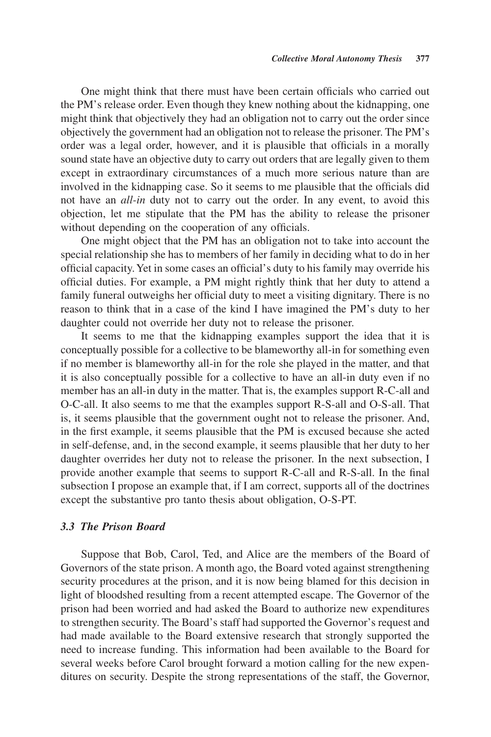One might think that there must have been certain officials who carried out the PM's release order. Even though they knew nothing about the kidnapping, one might think that objectively they had an obligation not to carry out the order since objectively the government had an obligation not to release the prisoner. The PM's order was a legal order, however, and it is plausible that officials in a morally sound state have an objective duty to carry out orders that are legally given to them except in extraordinary circumstances of a much more serious nature than are involved in the kidnapping case. So it seems to me plausible that the officials did not have an *all-in* duty not to carry out the order. In any event, to avoid this objection, let me stipulate that the PM has the ability to release the prisoner without depending on the cooperation of any officials.

One might object that the PM has an obligation not to take into account the special relationship she has to members of her family in deciding what to do in her official capacity.Yet in some cases an official's duty to his family may override his official duties. For example, a PM might rightly think that her duty to attend a family funeral outweighs her official duty to meet a visiting dignitary. There is no reason to think that in a case of the kind I have imagined the PM's duty to her daughter could not override her duty not to release the prisoner.

It seems to me that the kidnapping examples support the idea that it is conceptually possible for a collective to be blameworthy all-in for something even if no member is blameworthy all-in for the role she played in the matter, and that it is also conceptually possible for a collective to have an all-in duty even if no member has an all-in duty in the matter. That is, the examples support R-C-all and O-C-all. It also seems to me that the examples support R-S-all and O-S-all. That is, it seems plausible that the government ought not to release the prisoner. And, in the first example, it seems plausible that the PM is excused because she acted in self-defense, and, in the second example, it seems plausible that her duty to her daughter overrides her duty not to release the prisoner. In the next subsection, I provide another example that seems to support R-C-all and R-S-all. In the final subsection I propose an example that, if I am correct, supports all of the doctrines except the substantive pro tanto thesis about obligation, O-S-PT.

# *3.3 The Prison Board*

Suppose that Bob, Carol, Ted, and Alice are the members of the Board of Governors of the state prison. A month ago, the Board voted against strengthening security procedures at the prison, and it is now being blamed for this decision in light of bloodshed resulting from a recent attempted escape. The Governor of the prison had been worried and had asked the Board to authorize new expenditures to strengthen security. The Board's staff had supported the Governor's request and had made available to the Board extensive research that strongly supported the need to increase funding. This information had been available to the Board for several weeks before Carol brought forward a motion calling for the new expenditures on security. Despite the strong representations of the staff, the Governor,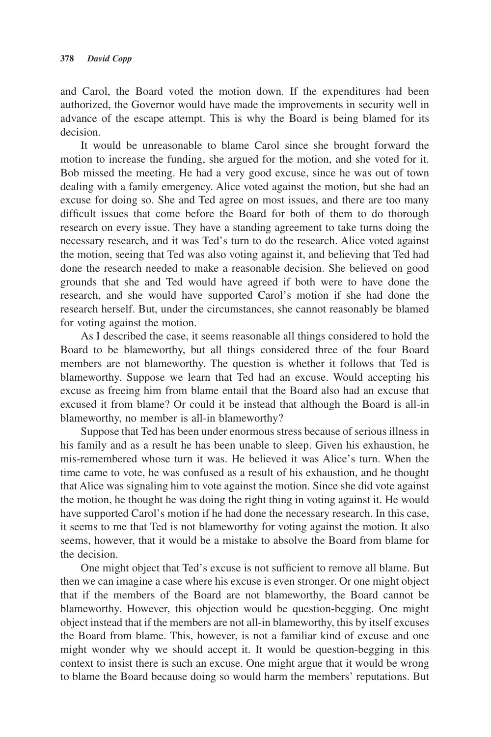and Carol, the Board voted the motion down. If the expenditures had been authorized, the Governor would have made the improvements in security well in advance of the escape attempt. This is why the Board is being blamed for its decision.

It would be unreasonable to blame Carol since she brought forward the motion to increase the funding, she argued for the motion, and she voted for it. Bob missed the meeting. He had a very good excuse, since he was out of town dealing with a family emergency. Alice voted against the motion, but she had an excuse for doing so. She and Ted agree on most issues, and there are too many difficult issues that come before the Board for both of them to do thorough research on every issue. They have a standing agreement to take turns doing the necessary research, and it was Ted's turn to do the research. Alice voted against the motion, seeing that Ted was also voting against it, and believing that Ted had done the research needed to make a reasonable decision. She believed on good grounds that she and Ted would have agreed if both were to have done the research, and she would have supported Carol's motion if she had done the research herself. But, under the circumstances, she cannot reasonably be blamed for voting against the motion.

As I described the case, it seems reasonable all things considered to hold the Board to be blameworthy, but all things considered three of the four Board members are not blameworthy. The question is whether it follows that Ted is blameworthy. Suppose we learn that Ted had an excuse. Would accepting his excuse as freeing him from blame entail that the Board also had an excuse that excused it from blame? Or could it be instead that although the Board is all-in blameworthy, no member is all-in blameworthy?

Suppose that Ted has been under enormous stress because of serious illness in his family and as a result he has been unable to sleep. Given his exhaustion, he mis-remembered whose turn it was. He believed it was Alice's turn. When the time came to vote, he was confused as a result of his exhaustion, and he thought that Alice was signaling him to vote against the motion. Since she did vote against the motion, he thought he was doing the right thing in voting against it. He would have supported Carol's motion if he had done the necessary research. In this case, it seems to me that Ted is not blameworthy for voting against the motion. It also seems, however, that it would be a mistake to absolve the Board from blame for the decision.

One might object that Ted's excuse is not sufficient to remove all blame. But then we can imagine a case where his excuse is even stronger. Or one might object that if the members of the Board are not blameworthy, the Board cannot be blameworthy. However, this objection would be question-begging. One might object instead that if the members are not all-in blameworthy, this by itself excuses the Board from blame. This, however, is not a familiar kind of excuse and one might wonder why we should accept it. It would be question-begging in this context to insist there is such an excuse. One might argue that it would be wrong to blame the Board because doing so would harm the members' reputations. But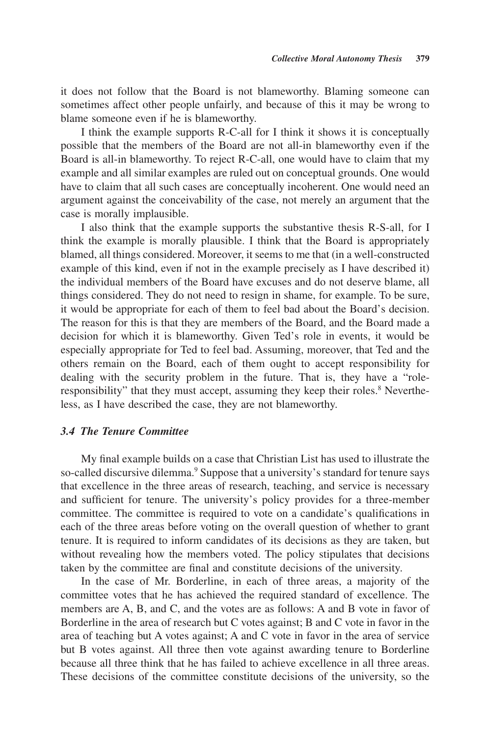it does not follow that the Board is not blameworthy. Blaming someone can sometimes affect other people unfairly, and because of this it may be wrong to blame someone even if he is blameworthy.

I think the example supports R-C-all for I think it shows it is conceptually possible that the members of the Board are not all-in blameworthy even if the Board is all-in blameworthy. To reject R-C-all, one would have to claim that my example and all similar examples are ruled out on conceptual grounds. One would have to claim that all such cases are conceptually incoherent. One would need an argument against the conceivability of the case, not merely an argument that the case is morally implausible.

I also think that the example supports the substantive thesis R-S-all, for I think the example is morally plausible. I think that the Board is appropriately blamed, all things considered. Moreover, it seems to me that (in a well-constructed example of this kind, even if not in the example precisely as I have described it) the individual members of the Board have excuses and do not deserve blame, all things considered. They do not need to resign in shame, for example. To be sure, it would be appropriate for each of them to feel bad about the Board's decision. The reason for this is that they are members of the Board, and the Board made a decision for which it is blameworthy. Given Ted's role in events, it would be especially appropriate for Ted to feel bad. Assuming, moreover, that Ted and the others remain on the Board, each of them ought to accept responsibility for dealing with the security problem in the future. That is, they have a "roleresponsibility" that they must accept, assuming they keep their roles.<sup>8</sup> Nevertheless, as I have described the case, they are not blameworthy.

# *3.4 The Tenure Committee*

My final example builds on a case that Christian List has used to illustrate the so-called discursive dilemma.<sup>9</sup> Suppose that a university's standard for tenure says that excellence in the three areas of research, teaching, and service is necessary and sufficient for tenure. The university's policy provides for a three-member committee. The committee is required to vote on a candidate's qualifications in each of the three areas before voting on the overall question of whether to grant tenure. It is required to inform candidates of its decisions as they are taken, but without revealing how the members voted. The policy stipulates that decisions taken by the committee are final and constitute decisions of the university.

In the case of Mr. Borderline, in each of three areas, a majority of the committee votes that he has achieved the required standard of excellence. The members are A, B, and C, and the votes are as follows: A and B vote in favor of Borderline in the area of research but C votes against; B and C vote in favor in the area of teaching but A votes against; A and C vote in favor in the area of service but B votes against. All three then vote against awarding tenure to Borderline because all three think that he has failed to achieve excellence in all three areas. These decisions of the committee constitute decisions of the university, so the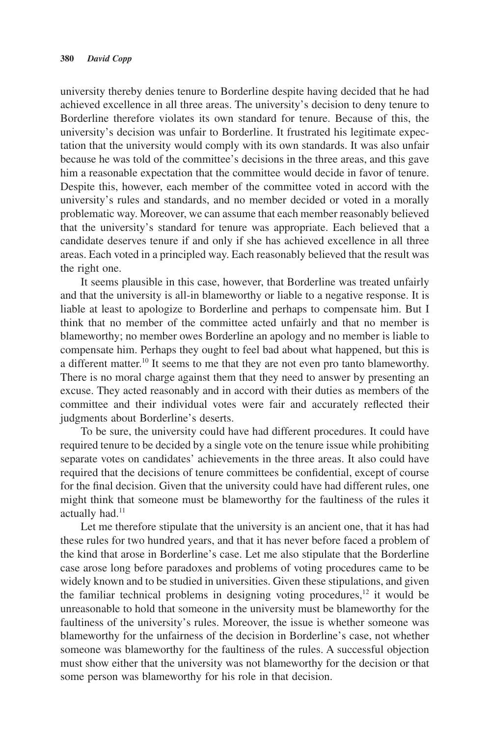university thereby denies tenure to Borderline despite having decided that he had achieved excellence in all three areas. The university's decision to deny tenure to Borderline therefore violates its own standard for tenure. Because of this, the university's decision was unfair to Borderline. It frustrated his legitimate expectation that the university would comply with its own standards. It was also unfair because he was told of the committee's decisions in the three areas, and this gave him a reasonable expectation that the committee would decide in favor of tenure. Despite this, however, each member of the committee voted in accord with the university's rules and standards, and no member decided or voted in a morally problematic way. Moreover, we can assume that each member reasonably believed that the university's standard for tenure was appropriate. Each believed that a candidate deserves tenure if and only if she has achieved excellence in all three areas. Each voted in a principled way. Each reasonably believed that the result was the right one.

It seems plausible in this case, however, that Borderline was treated unfairly and that the university is all-in blameworthy or liable to a negative response. It is liable at least to apologize to Borderline and perhaps to compensate him. But I think that no member of the committee acted unfairly and that no member is blameworthy; no member owes Borderline an apology and no member is liable to compensate him. Perhaps they ought to feel bad about what happened, but this is a different matter.<sup>10</sup> It seems to me that they are not even pro tanto blameworthy. There is no moral charge against them that they need to answer by presenting an excuse. They acted reasonably and in accord with their duties as members of the committee and their individual votes were fair and accurately reflected their judgments about Borderline's deserts.

To be sure, the university could have had different procedures. It could have required tenure to be decided by a single vote on the tenure issue while prohibiting separate votes on candidates' achievements in the three areas. It also could have required that the decisions of tenure committees be confidential, except of course for the final decision. Given that the university could have had different rules, one might think that someone must be blameworthy for the faultiness of the rules it actually had.<sup>11</sup>

Let me therefore stipulate that the university is an ancient one, that it has had these rules for two hundred years, and that it has never before faced a problem of the kind that arose in Borderline's case. Let me also stipulate that the Borderline case arose long before paradoxes and problems of voting procedures came to be widely known and to be studied in universities. Given these stipulations, and given the familiar technical problems in designing voting procedures, $12$  it would be unreasonable to hold that someone in the university must be blameworthy for the faultiness of the university's rules. Moreover, the issue is whether someone was blameworthy for the unfairness of the decision in Borderline's case, not whether someone was blameworthy for the faultiness of the rules. A successful objection must show either that the university was not blameworthy for the decision or that some person was blameworthy for his role in that decision.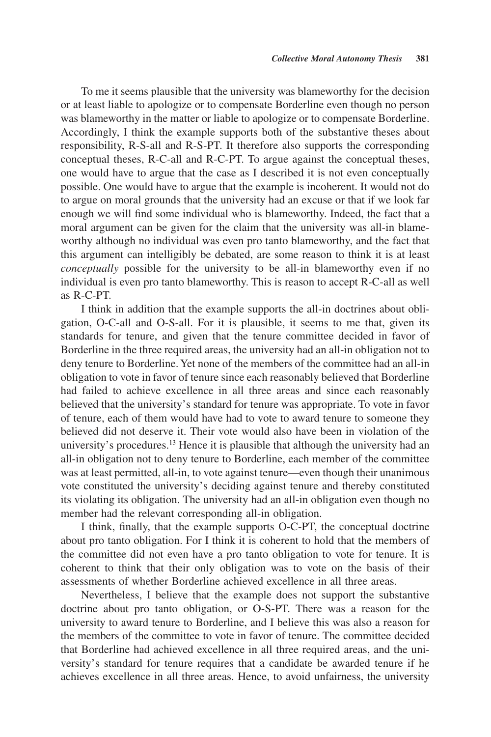To me it seems plausible that the university was blameworthy for the decision or at least liable to apologize or to compensate Borderline even though no person was blameworthy in the matter or liable to apologize or to compensate Borderline. Accordingly, I think the example supports both of the substantive theses about responsibility, R-S-all and R-S-PT. It therefore also supports the corresponding conceptual theses, R-C-all and R-C-PT. To argue against the conceptual theses, one would have to argue that the case as I described it is not even conceptually possible. One would have to argue that the example is incoherent. It would not do to argue on moral grounds that the university had an excuse or that if we look far enough we will find some individual who is blameworthy. Indeed, the fact that a moral argument can be given for the claim that the university was all-in blameworthy although no individual was even pro tanto blameworthy, and the fact that this argument can intelligibly be debated, are some reason to think it is at least *conceptually* possible for the university to be all-in blameworthy even if no individual is even pro tanto blameworthy. This is reason to accept R-C-all as well as R-C-PT.

I think in addition that the example supports the all-in doctrines about obligation, O-C-all and O-S-all. For it is plausible, it seems to me that, given its standards for tenure, and given that the tenure committee decided in favor of Borderline in the three required areas, the university had an all-in obligation not to deny tenure to Borderline. Yet none of the members of the committee had an all-in obligation to vote in favor of tenure since each reasonably believed that Borderline had failed to achieve excellence in all three areas and since each reasonably believed that the university's standard for tenure was appropriate. To vote in favor of tenure, each of them would have had to vote to award tenure to someone they believed did not deserve it. Their vote would also have been in violation of the university's procedures.<sup>13</sup> Hence it is plausible that although the university had an all-in obligation not to deny tenure to Borderline, each member of the committee was at least permitted, all-in, to vote against tenure—even though their unanimous vote constituted the university's deciding against tenure and thereby constituted its violating its obligation. The university had an all-in obligation even though no member had the relevant corresponding all-in obligation.

I think, finally, that the example supports O-C-PT, the conceptual doctrine about pro tanto obligation. For I think it is coherent to hold that the members of the committee did not even have a pro tanto obligation to vote for tenure. It is coherent to think that their only obligation was to vote on the basis of their assessments of whether Borderline achieved excellence in all three areas.

Nevertheless, I believe that the example does not support the substantive doctrine about pro tanto obligation, or O-S-PT. There was a reason for the university to award tenure to Borderline, and I believe this was also a reason for the members of the committee to vote in favor of tenure. The committee decided that Borderline had achieved excellence in all three required areas, and the university's standard for tenure requires that a candidate be awarded tenure if he achieves excellence in all three areas. Hence, to avoid unfairness, the university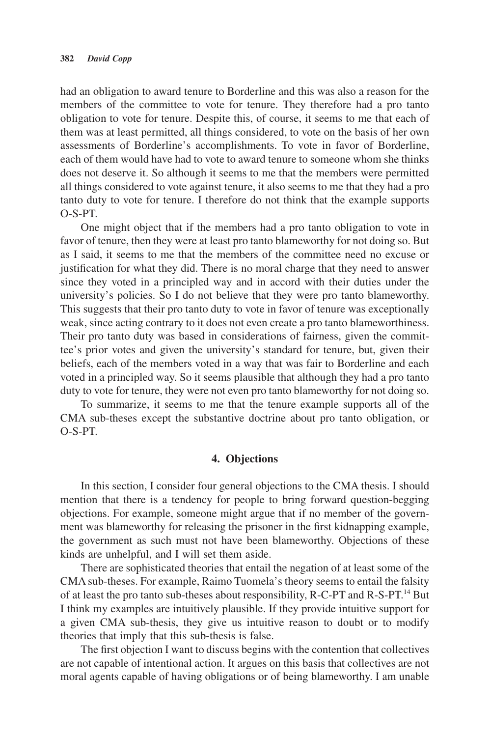had an obligation to award tenure to Borderline and this was also a reason for the members of the committee to vote for tenure. They therefore had a pro tanto obligation to vote for tenure. Despite this, of course, it seems to me that each of them was at least permitted, all things considered, to vote on the basis of her own assessments of Borderline's accomplishments. To vote in favor of Borderline, each of them would have had to vote to award tenure to someone whom she thinks does not deserve it. So although it seems to me that the members were permitted all things considered to vote against tenure, it also seems to me that they had a pro tanto duty to vote for tenure. I therefore do not think that the example supports O-S-PT.

One might object that if the members had a pro tanto obligation to vote in favor of tenure, then they were at least pro tanto blameworthy for not doing so. But as I said, it seems to me that the members of the committee need no excuse or justification for what they did. There is no moral charge that they need to answer since they voted in a principled way and in accord with their duties under the university's policies. So I do not believe that they were pro tanto blameworthy. This suggests that their pro tanto duty to vote in favor of tenure was exceptionally weak, since acting contrary to it does not even create a pro tanto blameworthiness. Their pro tanto duty was based in considerations of fairness, given the committee's prior votes and given the university's standard for tenure, but, given their beliefs, each of the members voted in a way that was fair to Borderline and each voted in a principled way. So it seems plausible that although they had a pro tanto duty to vote for tenure, they were not even pro tanto blameworthy for not doing so.

To summarize, it seems to me that the tenure example supports all of the CMA sub-theses except the substantive doctrine about pro tanto obligation, or O-S-PT.

# **4. Objections**

In this section, I consider four general objections to the CMA thesis. I should mention that there is a tendency for people to bring forward question-begging objections. For example, someone might argue that if no member of the government was blameworthy for releasing the prisoner in the first kidnapping example, the government as such must not have been blameworthy. Objections of these kinds are unhelpful, and I will set them aside.

There are sophisticated theories that entail the negation of at least some of the CMA sub-theses. For example, Raimo Tuomela's theory seems to entail the falsity of at least the pro tanto sub-theses about responsibility, R-C-PT and R-S-PT.<sup>14</sup> But I think my examples are intuitively plausible. If they provide intuitive support for a given CMA sub-thesis, they give us intuitive reason to doubt or to modify theories that imply that this sub-thesis is false.

The first objection I want to discuss begins with the contention that collectives are not capable of intentional action. It argues on this basis that collectives are not moral agents capable of having obligations or of being blameworthy. I am unable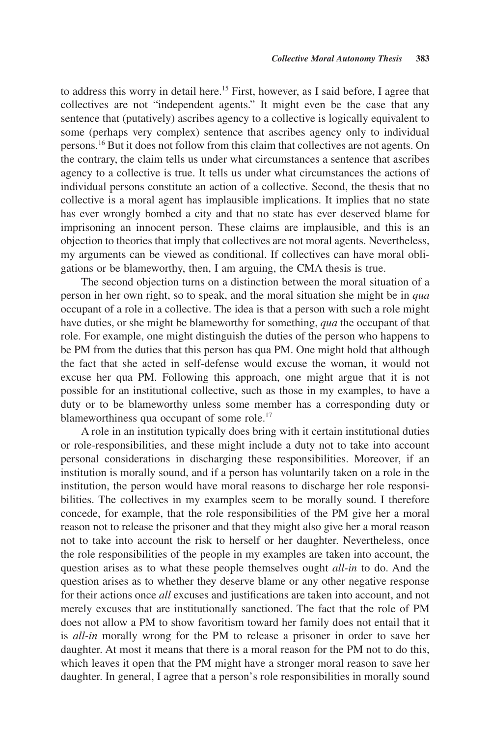to address this worry in detail here.<sup>15</sup> First, however, as I said before, I agree that collectives are not "independent agents." It might even be the case that any sentence that (putatively) ascribes agency to a collective is logically equivalent to some (perhaps very complex) sentence that ascribes agency only to individual persons.16 But it does not follow from this claim that collectives are not agents. On the contrary, the claim tells us under what circumstances a sentence that ascribes agency to a collective is true. It tells us under what circumstances the actions of individual persons constitute an action of a collective. Second, the thesis that no collective is a moral agent has implausible implications. It implies that no state has ever wrongly bombed a city and that no state has ever deserved blame for imprisoning an innocent person. These claims are implausible, and this is an objection to theories that imply that collectives are not moral agents. Nevertheless, my arguments can be viewed as conditional. If collectives can have moral obligations or be blameworthy, then, I am arguing, the CMA thesis is true.

The second objection turns on a distinction between the moral situation of a person in her own right, so to speak, and the moral situation she might be in *qua* occupant of a role in a collective. The idea is that a person with such a role might have duties, or she might be blameworthy for something, *qua* the occupant of that role. For example, one might distinguish the duties of the person who happens to be PM from the duties that this person has qua PM. One might hold that although the fact that she acted in self-defense would excuse the woman, it would not excuse her qua PM. Following this approach, one might argue that it is not possible for an institutional collective, such as those in my examples, to have a duty or to be blameworthy unless some member has a corresponding duty or blameworthiness qua occupant of some role.<sup>17</sup>

A role in an institution typically does bring with it certain institutional duties or role-responsibilities, and these might include a duty not to take into account personal considerations in discharging these responsibilities. Moreover, if an institution is morally sound, and if a person has voluntarily taken on a role in the institution, the person would have moral reasons to discharge her role responsibilities. The collectives in my examples seem to be morally sound. I therefore concede, for example, that the role responsibilities of the PM give her a moral reason not to release the prisoner and that they might also give her a moral reason not to take into account the risk to herself or her daughter. Nevertheless, once the role responsibilities of the people in my examples are taken into account, the question arises as to what these people themselves ought *all-in* to do. And the question arises as to whether they deserve blame or any other negative response for their actions once *all* excuses and justifications are taken into account, and not merely excuses that are institutionally sanctioned. The fact that the role of PM does not allow a PM to show favoritism toward her family does not entail that it is *all-in* morally wrong for the PM to release a prisoner in order to save her daughter. At most it means that there is a moral reason for the PM not to do this, which leaves it open that the PM might have a stronger moral reason to save her daughter. In general, I agree that a person's role responsibilities in morally sound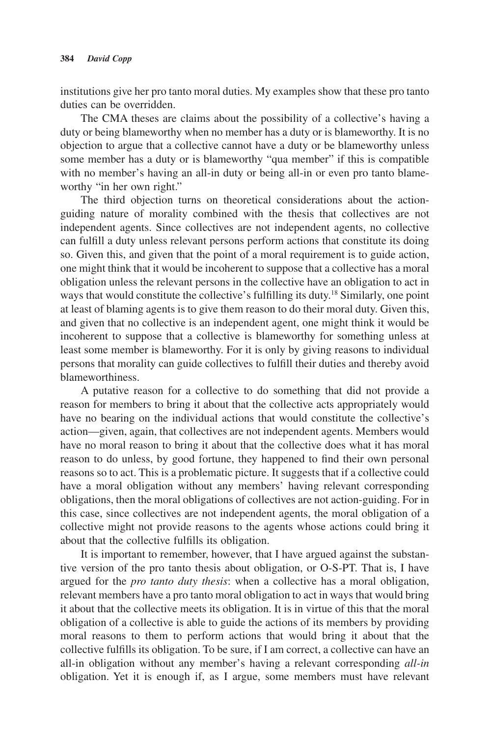institutions give her pro tanto moral duties. My examples show that these pro tanto duties can be overridden.

The CMA theses are claims about the possibility of a collective's having a duty or being blameworthy when no member has a duty or is blameworthy. It is no objection to argue that a collective cannot have a duty or be blameworthy unless some member has a duty or is blameworthy "qua member" if this is compatible with no member's having an all-in duty or being all-in or even pro tanto blameworthy "in her own right."

The third objection turns on theoretical considerations about the actionguiding nature of morality combined with the thesis that collectives are not independent agents. Since collectives are not independent agents, no collective can fulfill a duty unless relevant persons perform actions that constitute its doing so. Given this, and given that the point of a moral requirement is to guide action, one might think that it would be incoherent to suppose that a collective has a moral obligation unless the relevant persons in the collective have an obligation to act in ways that would constitute the collective's fulfilling its duty.<sup>18</sup> Similarly, one point at least of blaming agents is to give them reason to do their moral duty. Given this, and given that no collective is an independent agent, one might think it would be incoherent to suppose that a collective is blameworthy for something unless at least some member is blameworthy. For it is only by giving reasons to individual persons that morality can guide collectives to fulfill their duties and thereby avoid blameworthiness.

A putative reason for a collective to do something that did not provide a reason for members to bring it about that the collective acts appropriately would have no bearing on the individual actions that would constitute the collective's action—given, again, that collectives are not independent agents. Members would have no moral reason to bring it about that the collective does what it has moral reason to do unless, by good fortune, they happened to find their own personal reasons so to act. This is a problematic picture. It suggests that if a collective could have a moral obligation without any members' having relevant corresponding obligations, then the moral obligations of collectives are not action-guiding. For in this case, since collectives are not independent agents, the moral obligation of a collective might not provide reasons to the agents whose actions could bring it about that the collective fulfills its obligation.

It is important to remember, however, that I have argued against the substantive version of the pro tanto thesis about obligation, or O-S-PT. That is, I have argued for the *pro tanto duty thesis*: when a collective has a moral obligation, relevant members have a pro tanto moral obligation to act in ways that would bring it about that the collective meets its obligation. It is in virtue of this that the moral obligation of a collective is able to guide the actions of its members by providing moral reasons to them to perform actions that would bring it about that the collective fulfills its obligation. To be sure, if I am correct, a collective can have an all-in obligation without any member's having a relevant corresponding *all-in* obligation. Yet it is enough if, as I argue, some members must have relevant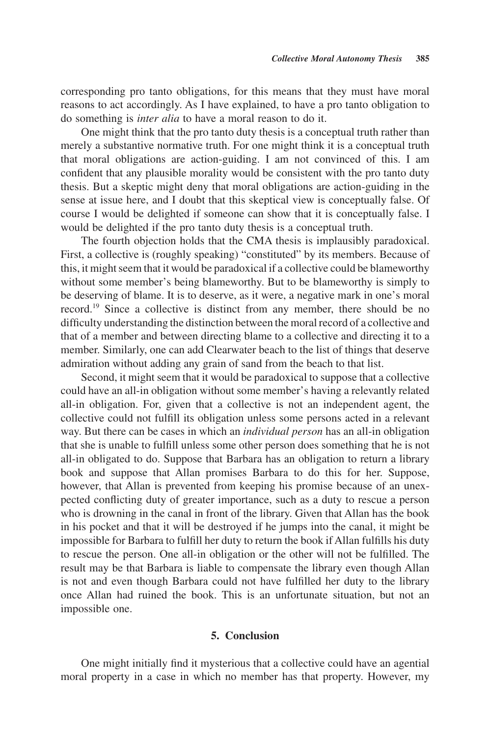corresponding pro tanto obligations, for this means that they must have moral reasons to act accordingly. As I have explained, to have a pro tanto obligation to do something is *inter alia* to have a moral reason to do it.

One might think that the pro tanto duty thesis is a conceptual truth rather than merely a substantive normative truth. For one might think it is a conceptual truth that moral obligations are action-guiding. I am not convinced of this. I am confident that any plausible morality would be consistent with the pro tanto duty thesis. But a skeptic might deny that moral obligations are action-guiding in the sense at issue here, and I doubt that this skeptical view is conceptually false. Of course I would be delighted if someone can show that it is conceptually false. I would be delighted if the pro tanto duty thesis is a conceptual truth.

The fourth objection holds that the CMA thesis is implausibly paradoxical. First, a collective is (roughly speaking) "constituted" by its members. Because of this, it might seem that it would be paradoxical if a collective could be blameworthy without some member's being blameworthy. But to be blameworthy is simply to be deserving of blame. It is to deserve, as it were, a negative mark in one's moral record.<sup>19</sup> Since a collective is distinct from any member, there should be no difficulty understanding the distinction between the moral record of a collective and that of a member and between directing blame to a collective and directing it to a member. Similarly, one can add Clearwater beach to the list of things that deserve admiration without adding any grain of sand from the beach to that list.

Second, it might seem that it would be paradoxical to suppose that a collective could have an all-in obligation without some member's having a relevantly related all-in obligation. For, given that a collective is not an independent agent, the collective could not fulfill its obligation unless some persons acted in a relevant way. But there can be cases in which an *individual person* has an all-in obligation that she is unable to fulfill unless some other person does something that he is not all-in obligated to do. Suppose that Barbara has an obligation to return a library book and suppose that Allan promises Barbara to do this for her. Suppose, however, that Allan is prevented from keeping his promise because of an unexpected conflicting duty of greater importance, such as a duty to rescue a person who is drowning in the canal in front of the library. Given that Allan has the book in his pocket and that it will be destroyed if he jumps into the canal, it might be impossible for Barbara to fulfill her duty to return the book if Allan fulfills his duty to rescue the person. One all-in obligation or the other will not be fulfilled. The result may be that Barbara is liable to compensate the library even though Allan is not and even though Barbara could not have fulfilled her duty to the library once Allan had ruined the book. This is an unfortunate situation, but not an impossible one.

# **5. Conclusion**

One might initially find it mysterious that a collective could have an agential moral property in a case in which no member has that property. However, my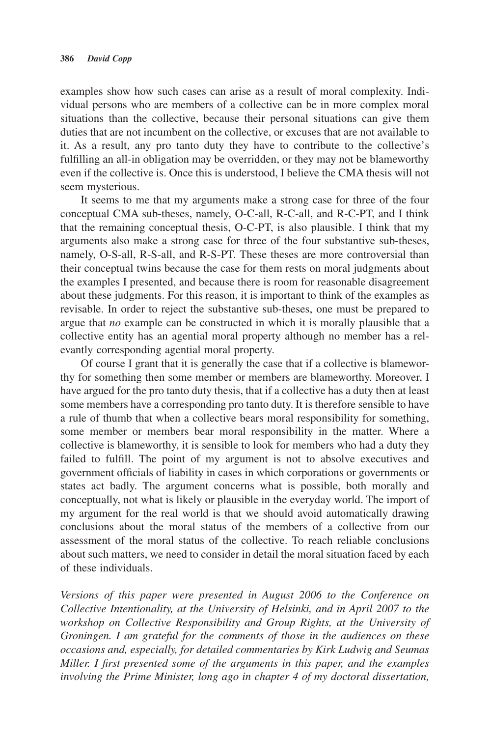examples show how such cases can arise as a result of moral complexity. Individual persons who are members of a collective can be in more complex moral situations than the collective, because their personal situations can give them duties that are not incumbent on the collective, or excuses that are not available to it. As a result, any pro tanto duty they have to contribute to the collective's fulfilling an all-in obligation may be overridden, or they may not be blameworthy even if the collective is. Once this is understood, I believe the CMA thesis will not seem mysterious.

It seems to me that my arguments make a strong case for three of the four conceptual CMA sub-theses, namely, O-C-all, R-C-all, and R-C-PT, and I think that the remaining conceptual thesis, O-C-PT, is also plausible. I think that my arguments also make a strong case for three of the four substantive sub-theses, namely, O-S-all, R-S-all, and R-S-PT. These theses are more controversial than their conceptual twins because the case for them rests on moral judgments about the examples I presented, and because there is room for reasonable disagreement about these judgments. For this reason, it is important to think of the examples as revisable. In order to reject the substantive sub-theses, one must be prepared to argue that *no* example can be constructed in which it is morally plausible that a collective entity has an agential moral property although no member has a relevantly corresponding agential moral property.

Of course I grant that it is generally the case that if a collective is blameworthy for something then some member or members are blameworthy. Moreover, I have argued for the pro tanto duty thesis, that if a collective has a duty then at least some members have a corresponding pro tanto duty. It is therefore sensible to have a rule of thumb that when a collective bears moral responsibility for something, some member or members bear moral responsibility in the matter. Where a collective is blameworthy, it is sensible to look for members who had a duty they failed to fulfill. The point of my argument is not to absolve executives and government officials of liability in cases in which corporations or governments or states act badly. The argument concerns what is possible, both morally and conceptually, not what is likely or plausible in the everyday world. The import of my argument for the real world is that we should avoid automatically drawing conclusions about the moral status of the members of a collective from our assessment of the moral status of the collective. To reach reliable conclusions about such matters, we need to consider in detail the moral situation faced by each of these individuals.

*Versions of this paper were presented in August 2006 to the Conference on Collective Intentionality, at the University of Helsinki, and in April 2007 to the workshop on Collective Responsibility and Group Rights, at the University of Groningen. I am grateful for the comments of those in the audiences on these occasions and, especially, for detailed commentaries by Kirk Ludwig and Seumas Miller. I first presented some of the arguments in this paper, and the examples involving the Prime Minister, long ago in chapter 4 of my doctoral dissertation,*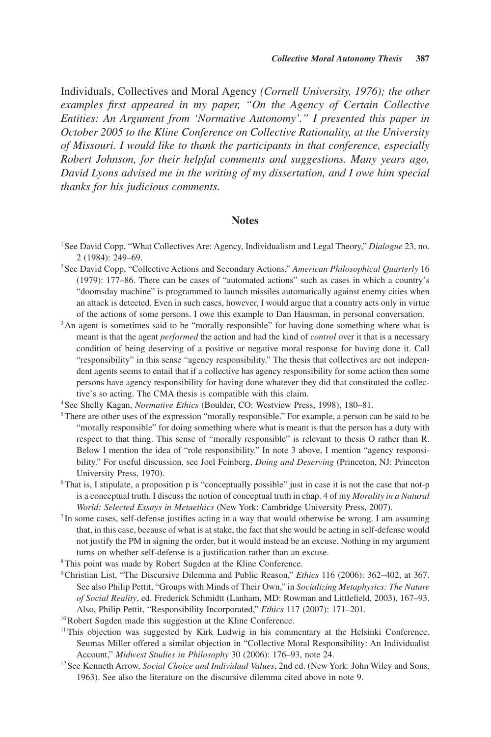Individuals, Collectives and Moral Agency *(Cornell University, 1976); the other examples first appeared in my paper, "On the Agency of Certain Collective Entities: An Argument from 'Normative Autonomy'." I presented this paper in October 2005 to the Kline Conference on Collective Rationality, at the University of Missouri. I would like to thank the participants in that conference, especially Robert Johnson, for their helpful comments and suggestions. Many years ago, David Lyons advised me in the writing of my dissertation, and I owe him special thanks for his judicious comments.*

### **Notes**

- 1See David Copp, "What Collectives Are: Agency, Individualism and Legal Theory," *Dialogue* 23, no. 2 (1984): 249–69.
- 2See David Copp, "Collective Actions and Secondary Actions," *American Philosophical Quarterly* 16 (1979): 177–86. There can be cases of "automated actions" such as cases in which a country's "doomsday machine" is programmed to launch missiles automatically against enemy cities when an attack is detected. Even in such cases, however, I would argue that a country acts only in virtue of the actions of some persons. I owe this example to Dan Hausman, in personal conversation.
- <sup>3</sup>An agent is sometimes said to be "morally responsible" for having done something where what is meant is that the agent *performed* the action and had the kind of *control* over it that is a necessary condition of being deserving of a positive or negative moral response for having done it. Call "responsibility" in this sense "agency responsibility." The thesis that collectives are not independent agents seems to entail that if a collective has agency responsibility for some action then some persons have agency responsibility for having done whatever they did that constituted the collective's so acting. The CMA thesis is compatible with this claim.
- 4See Shelly Kagan, *Normative Ethics* (Boulder, CO: Westview Press, 1998), 180–81.
- 5There are other uses of the expression "morally responsible." For example, a person can be said to be "morally responsible" for doing something where what is meant is that the person has a duty with respect to that thing. This sense of "morally responsible" is relevant to thesis O rather than R. Below I mention the idea of "role responsibility." In note 3 above, I mention "agency responsibility." For useful discussion, see Joel Feinberg, *Doing and Deserving* (Princeton, NJ: Princeton University Press, 1970).
- <sup>6</sup>That is, I stipulate, a proposition p is "conceptually possible" just in case it is not the case that not-p is a conceptual truth. I discuss the notion of conceptual truth in chap. 4 of my *Morality in a Natural World: Selected Essays in Metaethics* (New York: Cambridge University Press, 2007).
- <sup>7</sup> In some cases, self-defense justifies acting in a way that would otherwise be wrong. I am assuming that, in this case, because of what is at stake, the fact that she would be acting in self-defense would not justify the PM in signing the order, but it would instead be an excuse. Nothing in my argument turns on whether self-defense is a justification rather than an excuse.
- 8This point was made by Robert Sugden at the Kline Conference.
- 9Christian List, "The Discursive Dilemma and Public Reason," *Ethics* 116 (2006): 362–402, at 367. See also Philip Pettit, "Groups with Minds of Their Own," in *Socializing Metaphysics: The Nature of Social Reality*, ed. Frederick Schmidtt (Lanham, MD: Rowman and Littlefield, 2003), 167–93. Also, Philip Pettit, "Responsibility Incorporated," *Ethics* 117 (2007): 171–201.
- <sup>10</sup>Robert Sugden made this suggestion at the Kline Conference.
- <sup>11</sup>This objection was suggested by Kirk Ludwig in his commentary at the Helsinki Conference. Seumas Miller offered a similar objection in "Collective Moral Responsibility: An Individualist Account," *Midwest Studies in Philosophy* 30 (2006): 176–93, note 24.
- 12See Kenneth Arrow, *Social Choice and Individual Values*, 2nd ed. (New York: John Wiley and Sons, 1963). See also the literature on the discursive dilemma cited above in note 9.